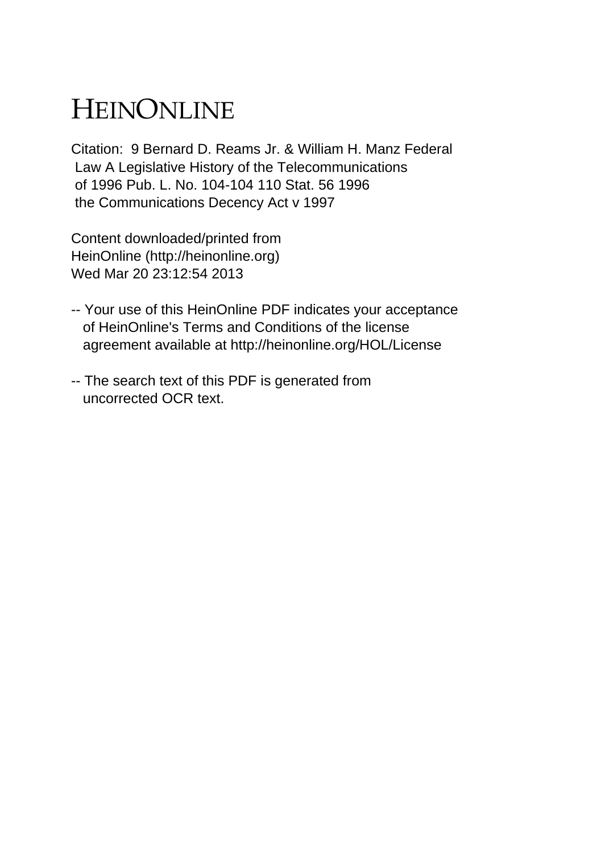## HEINONLINE

Citation: 9 Bernard D. Reams Jr. & William H. Manz Federal Law A Legislative History of the Telecommunications of 1996 Pub. L. No. 104-104 110 Stat. 56 1996 the Communications Decency Act v 1997

Content downloaded/printed from HeinOnline (http://heinonline.org) Wed Mar 20 23:12:54 2013

- -- Your use of this HeinOnline PDF indicates your acceptance of HeinOnline's Terms and Conditions of the license agreement available at http://heinonline.org/HOL/License
- -- The search text of this PDF is generated from uncorrected OCR text.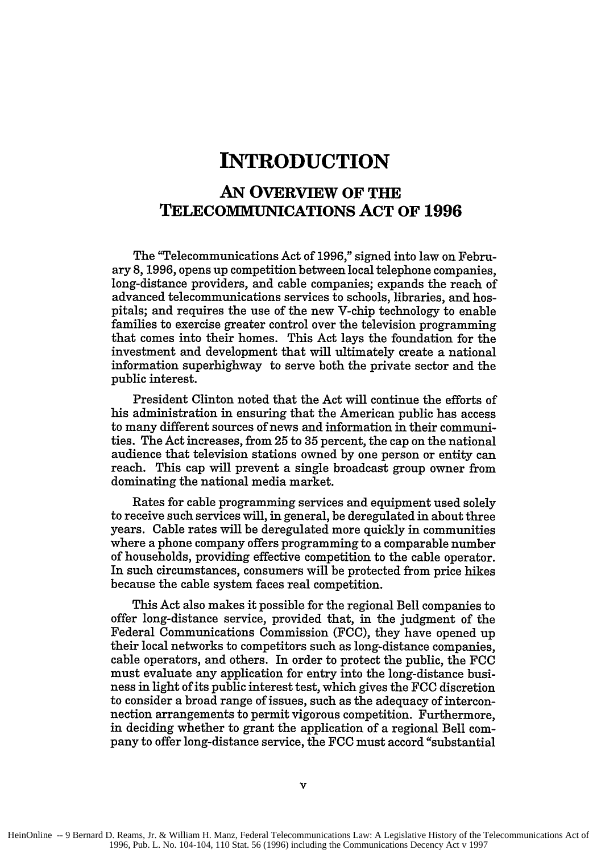## **INTRODUCTION**

## **AN OVERVIEW OF THE TELECOMMUNICATIONS ACT OF 1996**

The "Telecommunications Act of 1996," signed into law on February 8, 1996, opens up competition between local telephone companies, long-distance providers, and cable companies; expands the reach of advanced telecommunications services to schools, libraries, and hospitals; and requires the use of the new V-chip technology to enable families to exercise greater control over the television programming that comes into their homes. This Act lays the foundation for the investment and development that will ultimately create a national information superhighway to serve both the private sector and the public interest.

President Clinton noted that the Act will continue the efforts of his administration in ensuring that the American public has access to many different sources of news and information in their communities. The Act increases, from 25 to 35 percent, the cap on the national audience that television stations owned by one person or entity can reach. This cap will prevent a single broadcast group owner from dominating the national media market.

Rates for cable programming services and equipment used solely to receive such services will, in general, be deregulated in about three years. Cable rates will be deregulated more quickly in communities where a phone company offers programming to a comparable number of households, providing effective competition to the cable operator. In such circumstances, consumers will be protected from price hikes because the cable system faces real competition.

This Act also makes it possible for the regional Bell companies to offer long-distance service, provided that, in the judgment of the Federal Communications Commission (FCC), they have opened up their local networks to competitors such as long-distance companies, cable operators, and others. In order to protect the public, the FCC must evaluate any application for entry into the long-distance business in light of its public interest test, which gives the **FCC** discretion to consider a broad range of issues, such as the adequacy of interconnection arrangements to permit vigorous competition. Furthermore, in deciding whether to grant the application of a regional Bell company to offer long-distance service, the FCC must accord "substantial